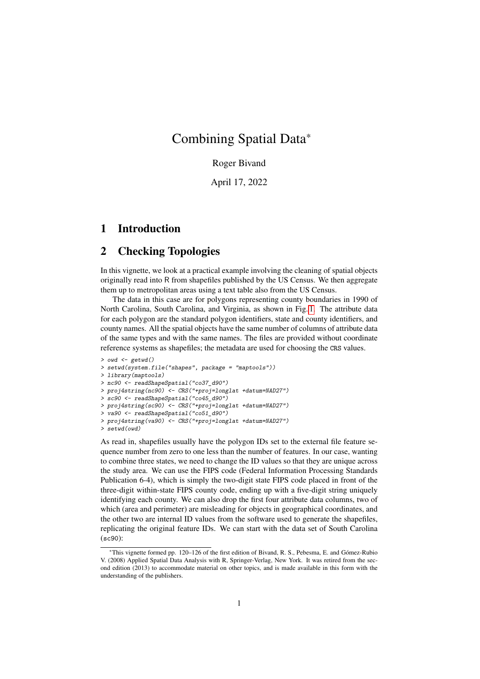# Combining Spatial Data\*

Roger Bivand

April 17, 2022

# 1 Introduction

## 2 Checking Topologies

In this vignette, we look at a practical example involving the cleaning of spatial objects originally read into R from shapefiles published by the US Census. We then aggregate them up to metropolitan areas using a text table also from the US Census.

The data in this case are for polygons representing county boundaries in 1990 of North Carolina, South Carolina, and Virginia, as shown in Fig. [1.](#page-1-0) The attribute data for each polygon are the standard polygon identifiers, state and county identifiers, and county names. All the spatial objects have the same number of columns of attribute data of the same types and with the same names. The files are provided without coordinate reference systems as shapefiles; the metadata are used for choosing the CRS values.

```
> owd \leq getwd()
> setwd(system.file("shapes", package = "maptools"))
> library(maptools)
> nc90 <- readShapeSpatial("co37_d90")
> proj4string(nc90) <- CRS("+proj=longlat +datum=NAD27")
> sc90 <- readShapeSpatial("co45_d90")
> proj4string(sc90) <- CRS("+proj=longlat +datum=NAD27")
> va90 <- readShapeSpatial("co51_d90")
> proj4string(va90) <- CRS("+proj=longlat +datum=NAD27")
> setwd(owd)
```
As read in, shapefiles usually have the polygon IDs set to the external file feature sequence number from zero to one less than the number of features. In our case, wanting to combine three states, we need to change the ID values so that they are unique across the study area. We can use the FIPS code (Federal Information Processing Standards Publication 6-4), which is simply the two-digit state FIPS code placed in front of the three-digit within-state FIPS county code, ending up with a five-digit string uniquely identifying each county. We can also drop the first four attribute data columns, two of which (area and perimeter) are misleading for objects in geographical coordinates, and the other two are internal ID values from the software used to generate the shapefiles, replicating the original feature IDs. We can start with the data set of South Carolina (sc90):

<sup>\*</sup>This vignette formed pp. 120–126 of the first edition of Bivand, R. S., Pebesma, E. and Gómez-Rubio V. (2008) Applied Spatial Data Analysis with R, Springer-Verlag, New York. It was retired from the second edition (2013) to accommodate material on other topics, and is made available in this form with the understanding of the publishers.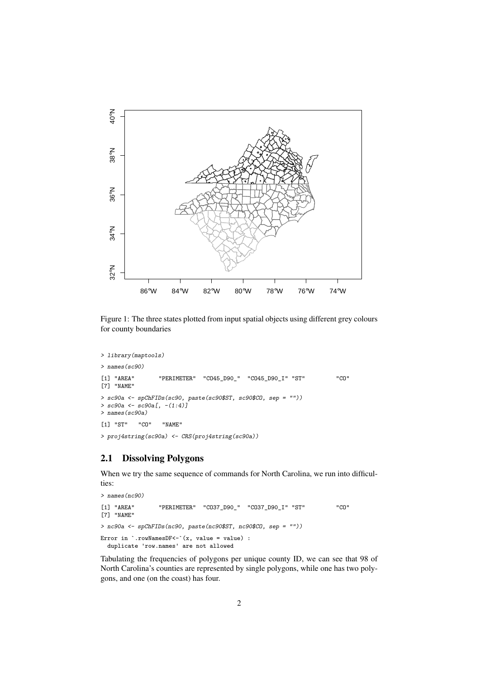

<span id="page-1-0"></span>Figure 1: The three states plotted from input spatial objects using different grey colours for county boundaries

```
> library(maptools)
```

```
> names(sc90)
[1] "AREA" "PERIMETER" "CO45_D90_" "CO45_D90_I" "ST" "CO"
[7] "NAME"
> sc90a <- spChFIDs(sc90, paste(sc90$ST, sc90$CO, sep = ""))
> sc90a \leftarrow sc90a[, -(1:4)]> names(sc90a)
[1] "ST" "CO" "NAME"
```
#### > proj4string(sc90a) <- CRS(proj4string(sc90a))

### 2.1 Dissolving Polygons

When we try the same sequence of commands for North Carolina, we run into difficulties:

```
> names(nc90)
[1] "AREA" "PERIMETER" "CO37_D90_" "CO37_D90_I" "ST" "CO"
[7] "NAME"
> nc90a <- spChFIDs(nc90, paste(nc90$ST, nc90$CO, sep = ""))
Error in \cdot.rowNamesDF <-\cdot (x, value = value) :
 duplicate 'row.names' are not allowed
```
Tabulating the frequencies of polygons per unique county ID, we can see that 98 of North Carolina's counties are represented by single polygons, while one has two polygons, and one (on the coast) has four.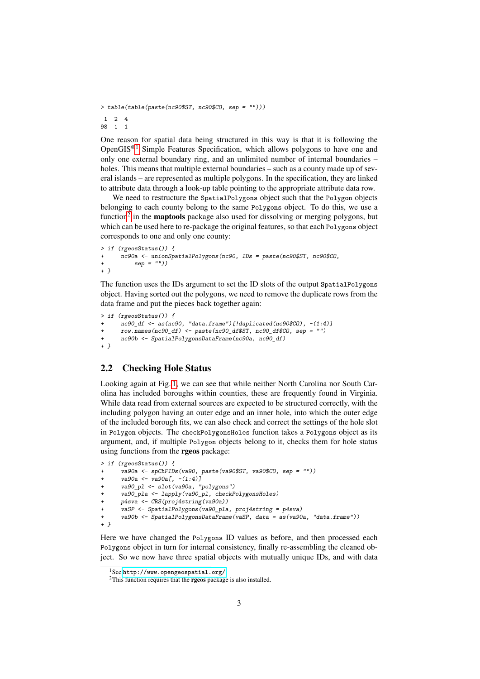```
> table(table(paste(nc90$ST, nc90$CO, sep = "")))
\begin{array}{cccc}\n1 & 2 & 4 \\
98 & 1 & 1\n\end{array}98 1 1
```
One reason for spatial data being structured in this way is that it is following the Open $GIS^{\otimes 1}$  $GIS^{\otimes 1}$  $GIS^{\otimes 1}$  Simple Features Specification, which allows polygons to have one and only one external boundary ring, and an unlimited number of internal boundaries – holes. This means that multiple external boundaries – such as a county made up of several islands – are represented as multiple polygons. In the specification, they are linked to attribute data through a look-up table pointing to the appropriate attribute data row.

We need to restructure the SpatialPolygons object such that the Polygon objects belonging to each county belong to the same Polygons object. To do this, we use a function<sup>[2](#page-2-1)</sup> in the **maptools** package also used for dissolving or merging polygons, but which can be used here to re-package the original features, so that each Polygons object corresponds to one and only one county:

```
> if (rgeosStatus()) {
+ nc90a <- unionSpatialPolygons(nc90, IDs = paste(nc90$ST, nc90$CO,
+ sep = ""))
+ }
```
The function uses the IDs argument to set the ID slots of the output SpatialPolygons object. Having sorted out the polygons, we need to remove the duplicate rows from the data frame and put the pieces back together again:

```
> if (rgeosStatus()) {
     nc90 df \leq as(nc90, "data.frame")[!duplicated(nc90$CO), -(1:4)]
     row.names(nc90_df) <- paste(nc90_df$ST, nc90_df$CO, sep = "")
+ nc90b <- SpatialPolygonsDataFrame(nc90a, nc90_df)
+ }
```
### 2.2 Checking Hole Status

Looking again at Fig. [1,](#page-1-0) we can see that while neither North Carolina nor South Carolina has included boroughs within counties, these are frequently found in Virginia. While data read from external sources are expected to be structured correctly, with the including polygon having an outer edge and an inner hole, into which the outer edge of the included borough fits, we can also check and correct the settings of the hole slot in Polygon objects. The checkPolygonsHoles function takes a Polygons object as its argument, and, if multiple Polygon objects belong to it, checks them for hole status using functions from the rgeos package:

```
> if (rgeosStatus()) {
      + va90a <- spChFIDs(va90, paste(va90$ST, va90$CO, sep = ""))
      va90a \leftarrow va90a[, -(1:4)]va90_pl <- slot(va90a, "polygons")
     va90_pla <- lapply(va90_pl, checkPolygonsHoles)
     + p4sva <- CRS(proj4string(va90a))
      vaSP <- SpatialPolygons(va90_pla, proj4string = p4sva)
+ va90b <- SpatialPolygonsDataFrame(vaSP, data = as(va90a, "data.frame"))
+ }
```
Here we have changed the Polygons ID values as before, and then processed each Polygons object in turn for internal consistency, finally re-assembling the cleaned object. So we now have three spatial objects with mutually unique IDs, and with data

<span id="page-2-0"></span><sup>1</sup>See <http://www.opengeospatial.org/>.

<span id="page-2-1"></span> $2$ This function requires that the **rgeos** package is also installed.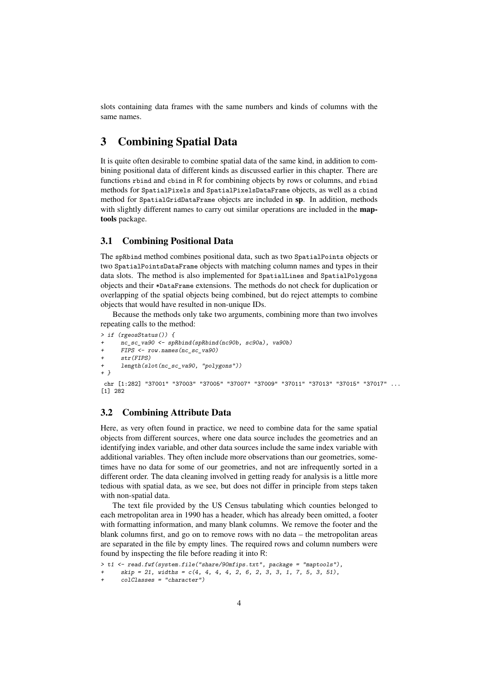slots containing data frames with the same numbers and kinds of columns with the same names.

# 3 Combining Spatial Data

It is quite often desirable to combine spatial data of the same kind, in addition to combining positional data of different kinds as discussed earlier in this chapter. There are functions rbind and cbind in R for combining objects by rows or columns, and rbind methods for SpatialPixels and SpatialPixelsDataFrame objects, as well as a cbind method for SpatialGridDataFrame objects are included in sp. In addition, methods with slightly different names to carry out similar operations are included in the **map**tools package.

#### 3.1 Combining Positional Data

The spRbind method combines positional data, such as two SpatialPoints objects or two SpatialPointsDataFrame objects with matching column names and types in their data slots. The method is also implemented for SpatialLines and SpatialPolygons objects and their \*DataFrame extensions. The methods do not check for duplication or overlapping of the spatial objects being combined, but do reject attempts to combine objects that would have resulted in non-unique IDs.

Because the methods only take two arguments, combining more than two involves repeating calls to the method:

```
> if (rgeosStatus()) {
     \overline{c} sc va90 <- spRbind(spRbind(nc90b, sc90a), va90b)
      + FIPS <- row.names(nc_sc_va90)
      str(FIPS)+ length(slot(nc_sc_va90, "polygons"))
+ }
chr [1:282] "37001" "37003" "37005" "37007" "37009" "37011" "37013" "37015" "37017" ...
```
#### 3.2 Combining Attribute Data

[1] 282

Here, as very often found in practice, we need to combine data for the same spatial objects from different sources, where one data source includes the geometries and an identifying index variable, and other data sources include the same index variable with additional variables. They often include more observations than our geometries, sometimes have no data for some of our geometries, and not are infrequently sorted in a different order. The data cleaning involved in getting ready for analysis is a little more tedious with spatial data, as we see, but does not differ in principle from steps taken with non-spatial data.

The text file provided by the US Census tabulating which counties belonged to each metropolitan area in 1990 has a header, which has already been omitted, a footer with formatting information, and many blank columns. We remove the footer and the blank columns first, and go on to remove rows with no data – the metropolitan areas are separated in the file by empty lines. The required rows and column numbers were found by inspecting the file before reading it into R:

```
> t1 <- read.fwf(system.file("share/90mfips.txt", package = "maptools"),
```

```
skip = 21, width s = c(4, 4, 4, 4, 2, 6, 2, 3, 3, 1, 7, 5, 3, 51),
```
 $colClasses = "character")$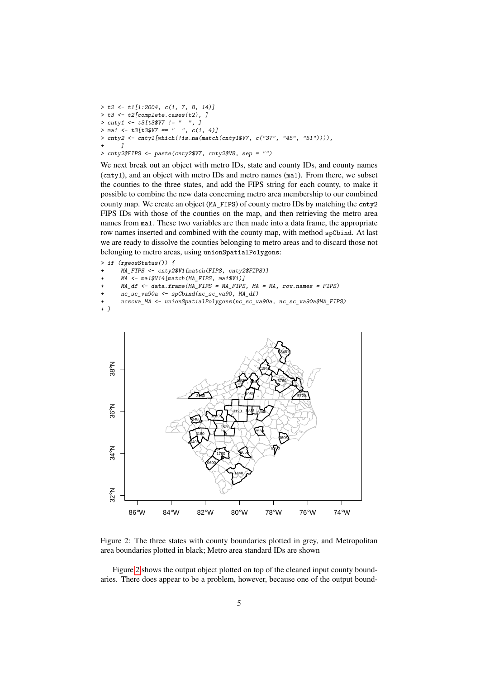$> t2 < - t1[1:2004, c(1, 7, 8, 14)]$  $> t3 \leftarrow t2$ [complete.cases(t2), ]<br> $> \text{cntv1} \leftarrow t3/t3\$V7 ! = " " . ]$  $>$  cntv1 <- t3 $[t3$V7$  != "  $>$  ma1  $\le$   $t3[t3$V7 == " , c(1, 4)]$ > cnty2 <- cnty1[which(!is.na(match(cnty1\$V7, c("37", "45", "51")))), +  $1$  $\overline{\phantom{a}}$ > cnty2\$FIPS <- paste(cnty2\$V7, cnty2\$V8, sep = "")

We next break out an object with metro IDs, state and county IDs, and county names (cnty1), and an object with metro IDs and metro names (ma1). From there, we subset the counties to the three states, and add the FIPS string for each county, to make it possible to combine the new data concerning metro area membership to our combined county map. We create an object (MA\_FIPS) of county metro IDs by matching the cnty2 FIPS IDs with those of the counties on the map, and then retrieving the metro area names from ma1. These two variables are then made into a data frame, the appropriate row names inserted and combined with the county map, with method spCbind. At last we are ready to dissolve the counties belonging to metro areas and to discard those not belonging to metro areas, using unionSpatialPolygons:

> if (rgeosStatus()) {

- MA\_FIPS <- cnty2\$V1[match(FIPS, cnty2\$FIPS)]
- + MA <- ma1\$V14[match(MA\_FIPS, ma1\$V1)]
- MA df  $\leq$  data.frame(MA\_FIPS = MA\_FIPS, MA = MA, row.names = FIPS)
- + nc\_sc\_va90a <- spCbind(nc\_sc\_va90, MA\_df)

+ ncscva\_MA <- unionSpatialPolygons(nc\_sc\_va90a, nc\_sc\_va90a\$MA\_FIPS) + }



<span id="page-4-0"></span>Figure 2: The three states with county boundaries plotted in grey, and Metropolitan area boundaries plotted in black; Metro area standard IDs are shown

Figure [2](#page-4-0) shows the output object plotted on top of the cleaned input county boundaries. There does appear to be a problem, however, because one of the output bound